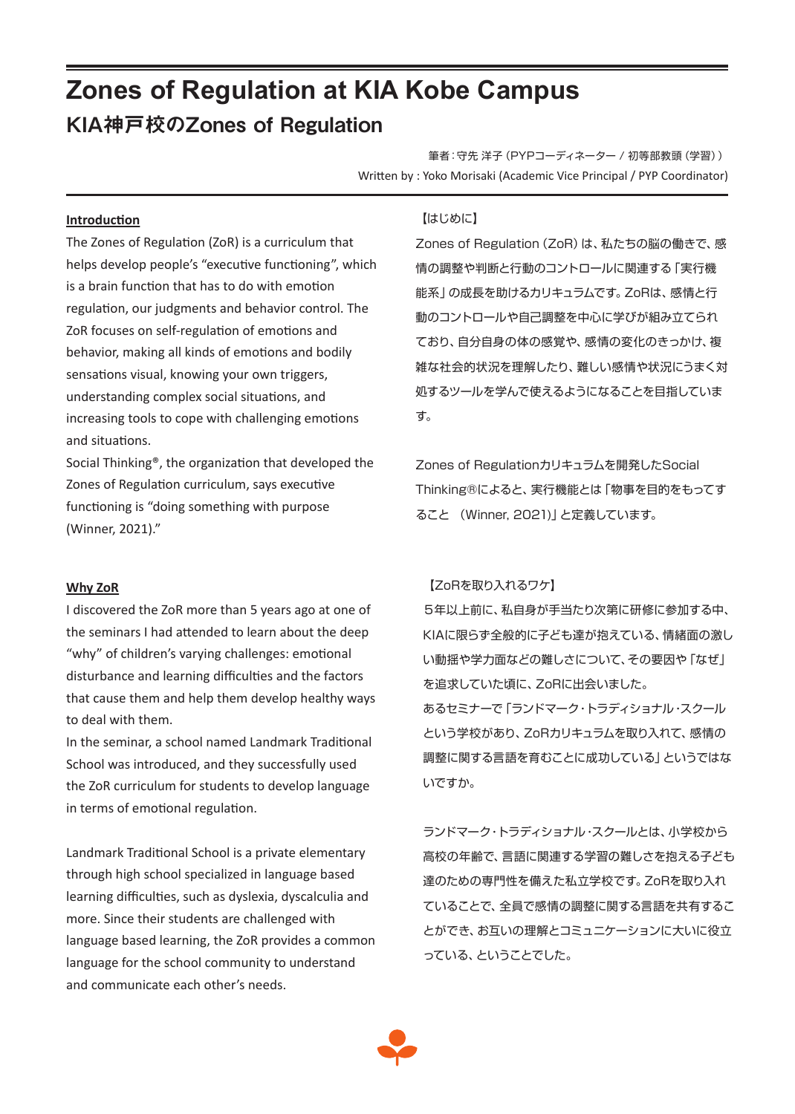# **Zones of Regulation at KIA Kobe Campus** KIA神戸校のZones of Regulation

筆者:守先 洋子(PYPコーディネーター / 初等部教頭(学習)) Written by : Yoko Morisaki (Academic Vice Principal / PYP Coordinator)

#### **Introduction**

The Zones of Regulation (ZoR) is a curriculum that helps develop people's "executive functioning", which is a brain function that has to do with emotion regulation, our judgments and behavior control. The ZoR focuses on self-regulation of emotions and behavior, making all kinds of emotions and bodily sensations visual, knowing your own triggers, understanding complex social situations, and increasing tools to cope with challenging emotions and situations.

Social Thinking®, the organization that developed the Zones of Regulation curriculum, says executive functioning is "doing something with purpose (Winner, 2021)."

#### **Why ZoR**

I discovered the ZoR more than 5 years ago at one of the seminars I had attended to learn about the deep "why" of children's varying challenges: emotional disturbance and learning difficulties and the factors that cause them and help them develop healthy ways to deal with them.

In the seminar, a school named Landmark Traditional School was introduced, and they successfully used the ZoR curriculum for students to develop language in terms of emotional regulation.

Landmark Traditional School is a private elementary through high school specialized in language based learning difficulties, such as dyslexia, dyscalculia and more. Since their students are challenged with language based learning, the ZoR provides a common language for the school community to understand and communicate each other's needs.

# 【はじめに】

Zones of Regulation (ZoR) は、私たちの脳の働きで、感 情の調整や判断と行動のコントロールに関連する「実行機 能系」の成長を助けるカリキュラムです。ZoRは、感情と行 動のコントロールや自己調整を中心に学びが組み立てられ ており、自分自身の体の感覚や、感情の変化のきっかけ、複 雑な社会的状況を理解したり、難しい感情や状況にうまく対 処するツールを学んで使えるようになることを目指していま す。

Zones of Regulationカリキュラムを開発したSocial Thinking®によると、実行機能とは「物事を目的をもってす ること (Winner, 2021)」と定義しています。

#### 【ZoRを取り入れるワケ】

5年以上前に、私自身が手当たり次第に研修に参加する中、 KIAに限らず全般的に子ども達が抱えている、情緒面の激し い動揺や学力面などの難しさについて、その要因や「なぜ」 を追求していた頃に、ZoRに出会いました。 あるセミナーで「ランドマーク・トラディショナル・スクール という学校があり、ZoRカリキュラムを取り入れて、感情の 調整に関する言語を育むことに成功している」というではな いですか。

ランドマーク・トラディショナル・スクールとは、小学校から 高校の年齢で、言語に関連する学習の難しさを抱える子ども 達のための専門性を備えた私立学校です。ZoRを取り入れ ていることで、全員で感情の調整に関する言語を共有するこ とができ、お互いの理解とコミュニケーションに大いに役立 っている、ということでした。

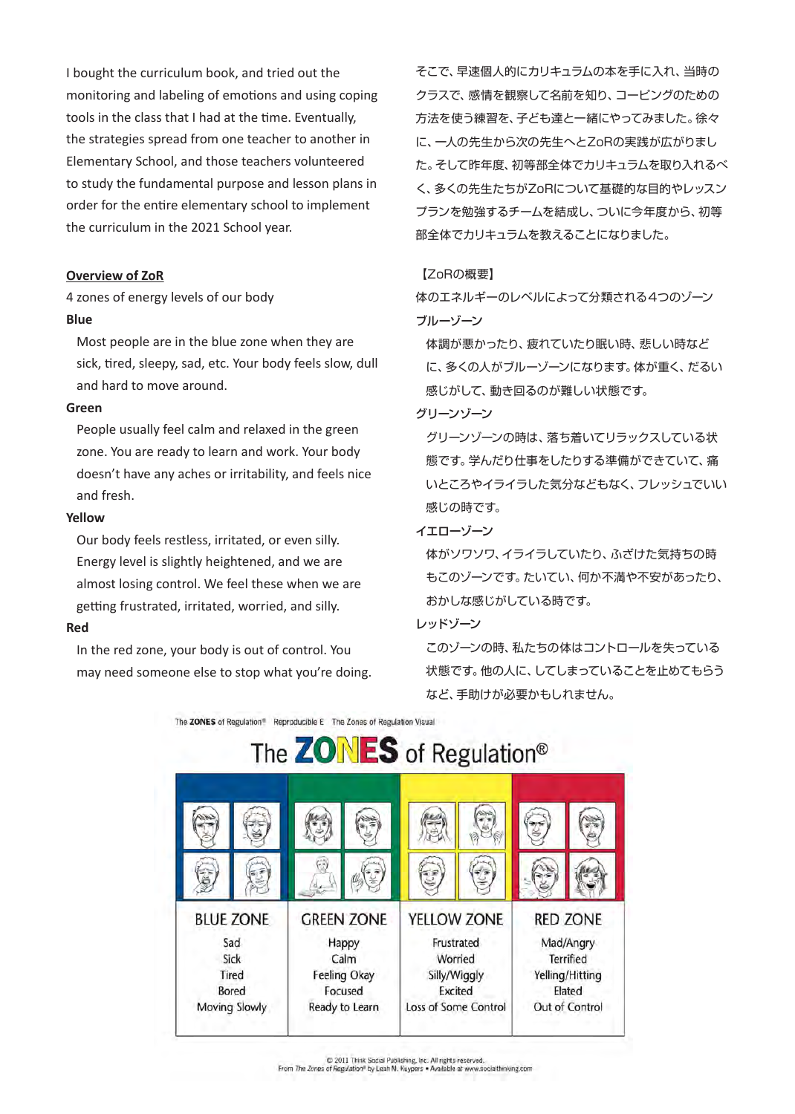I bought the curriculum book, and tried out the monitoring and labeling of emotions and using coping tools in the class that I had at the time. Eventually, the strategies spread from one teacher to another in Elementary School, and those teachers volunteered to study the fundamental purpose and lesson plans in order for the entire elementary school to implement the curriculum in the 2021 School year.

### **Overview of ZoR**

4 zones of energy levels of our body **Blue**

Most people are in the blue zone when they are sick, tired, sleepy, sad, etc. Your body feels slow, dull and hard to move around.

#### **Green**

People usually feel calm and relaxed in the green zone. You are ready to learn and work. Your body doesn't have any aches or irritability, and feels nice and fresh.

#### **Yellow**

Our body feels restless, irritated, or even silly. Energy level is slightly heightened, and we are almost losing control. We feel these when we are getting frustrated, irritated, worried, and silly.

#### **Red**

In the red zone, your body is out of control. You may need someone else to stop what you're doing. そこで、早速個人的にカリキュラムの本を手に入れ、当時の クラスで、感情を観察して名前を知り、コーピングのための 方法を使う練習を、子ども達と一緒にやってみました。徐々 に、一人の先生から次の先生へとZoRの実践が広がりまし た。そして昨年度、初等部全体でカリキュラムを取り入れるべ く、多くの先生たちがZoRについて基礎的な目的やレッスン プランを勉強するチームを結成し、ついに今年度から、初等 部全体でカリキュラムを教えることになりました。

#### 【ZoRの概要】

体のエネルギーのレベルによって分類される4つのゾーン ブルーゾーン

体調が悪かったり、疲れていたり眠い時、悲しい時など に、多くの人がブルーゾーンになります。体が重く、だるい 感じがして、動き回るのが難しい状態です。

# グリーンゾーン

グリーンゾーンの時は、落ち着いてリラックスしている状 態です。学んだり仕事をしたりする準備ができていて、痛 いところやイライラした気分などもなく、フレッシュでいい 感じの時です。

# イエローゾーン

体がソワソワ、イライラしていたり、ふざけた気持ちの時 もこのゾーンです。たいてい、何か不満や不安があったり、 おかしな感じがしている時です。

#### レッドゾーン

このゾーンの時、私たちの体はコントロールを失っている 状態です。他の人に、してしまっていることを止めてもらう など、手助けが必要かもしれません。

The ZONES of Regulation<sup>®</sup> Reproducible E The Zones of Regulation Visual



D 2011 Think Social Publishing, Inc. All rights reserved.<br>From The Zones of Regulation® by Leah M. Kuypers . Available at www.socialthinking.com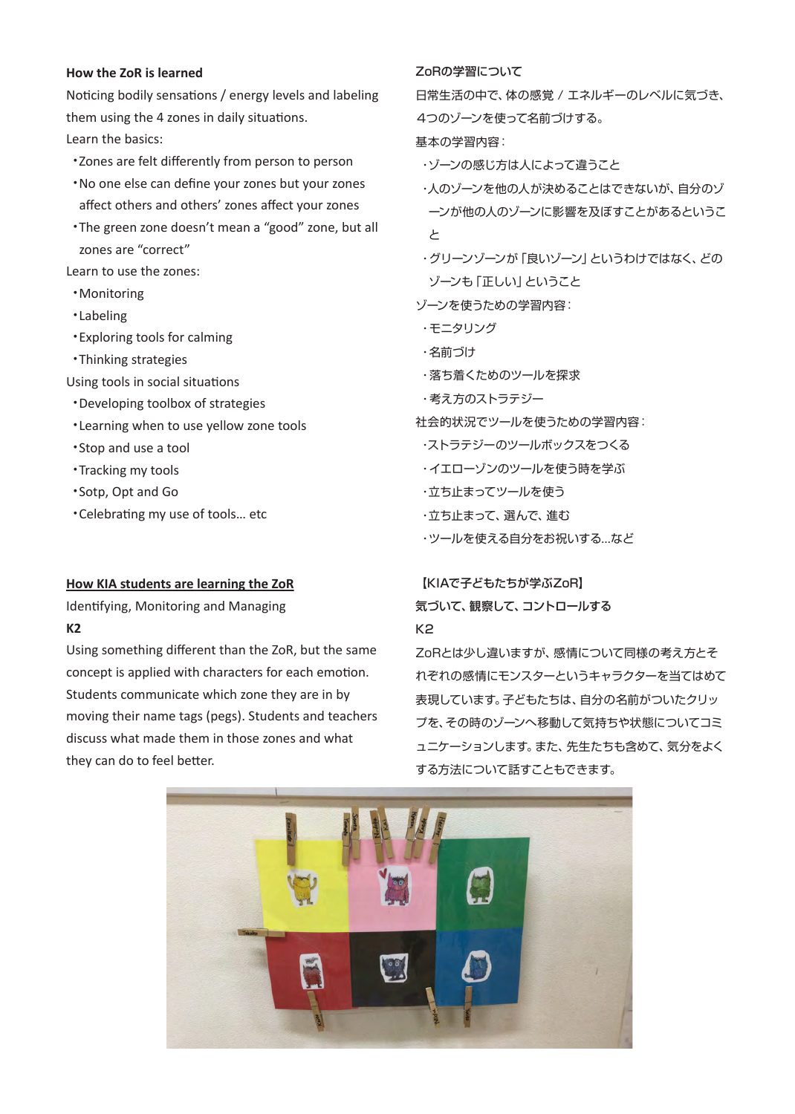# **How the ZoR is learned**

Noticing bodily sensations / energy levels and labeling them using the 4 zones in daily situations. Learn the basics:

・Zones are felt differently from person to person

- ・No one else can define your zones but your zones affect others and others' zones affect your zones
- ・The green zone doesn't mean a "good" zone, but all zones are "correct"

Learn to use the zones:

- ・Monitoring
- ・Labeling
- ・Exploring tools for calming
- ・Thinking strategies

Using tools in social situations

- ・Developing toolbox of strategies
- ・Learning when to use yellow zone tools
- ・Stop and use a tool
- ・Tracking my tools
- ・Sotp, Opt and Go
- ・Celebrating my use of tools… etc

# **How KIA students are learning the ZoR**

Identifying, Monitoring and Managing **K2**

Using something different than the ZoR, but the same concept is applied with characters for each emotion. Students communicate which zone they are in by moving their name tags (pegs). Students and teachers discuss what made them in those zones and what they can do to feel better.

# ZoRの学習について

日常生活の中で、体の感覚 / エネルギーのレベルに気づき、 4つのゾーンを使って名前づけする。

基本の学習内容:

・ゾーンの感じ方は人によって違うこと

- ・人のゾーンを他の人が決めることはできないが、自分のゾ ーンが他の人のゾーンに影響を及ぼすことがあるというこ と
- ・グリーンゾーンが「良いゾーン」というわけではなく、どの ゾーンも「正しい」ということ

ゾーンを使うための学習内容:

- ・モニタリング
- ・名前づけ
- ・落ち着くためのツールを探求
- ・考え方のストラテジー
- 社会的状況でツールを使うための学習内容:
- ・ストラテジーのツールボックスをつくる
- ・イエローゾンのツールを使う時を学ぶ
- ・立ち止まってツールを使う
- ・立ち止まって、選んで、進む
- ・ツールを使える自分をお祝いする...など

# 【KIAで子どもたちが学ぶZoR】 気づいて、観察して、コントロールする

# K2

ZoRとは少し違いますが、感情について同様の考え方とそ れぞれの感情にモンスターというキャラクターを当てはめて 表現しています。子どもたちは、自分の名前がついたクリッ プを、その時のゾーンへ移動して気持ちや状態についてコミ ュニケーションします。また、先生たちも含めて、気分をよく する方法について話すこともできます。

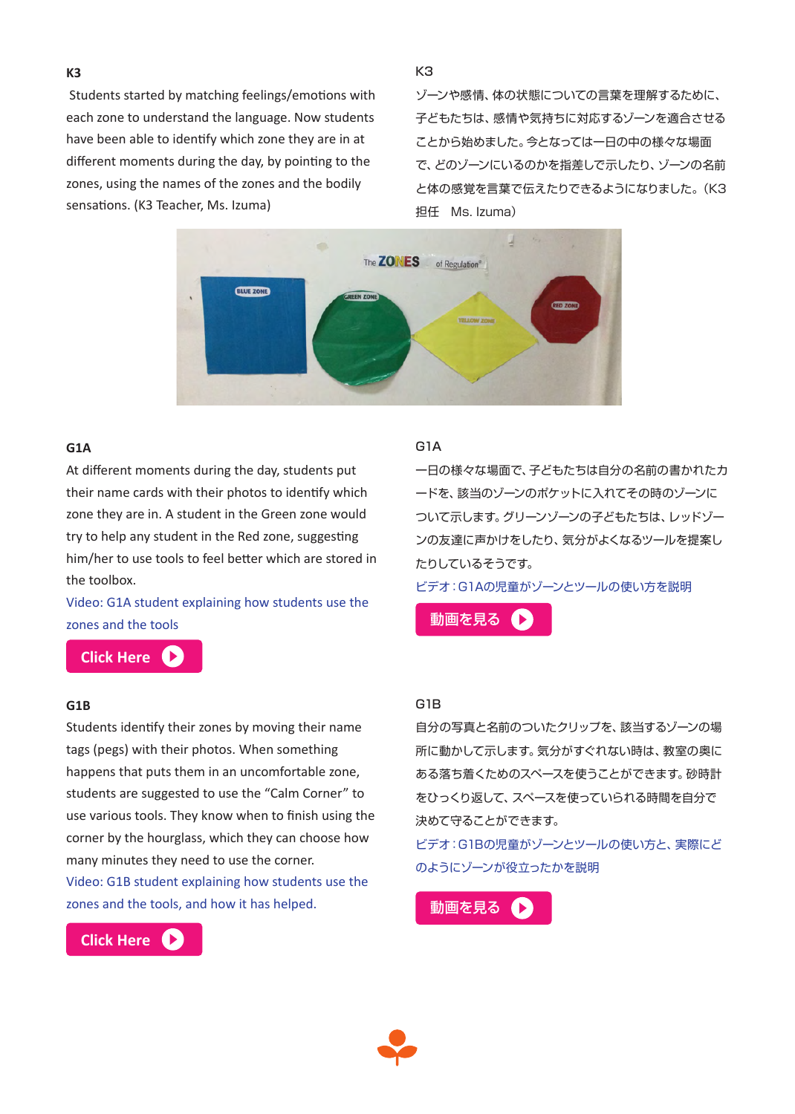**K3**

 Students started by matching feelings/emotions with each zone to understand the language. Now students have been able to identify which zone they are in at different moments during the day, by pointing to the zones, using the names of the zones and the bodily sensations. (K3 Teacher, Ms. Izuma)

K3

ゾーンや感情、体の状態についての言葉を理解するために、 子どもたちは、感情や気持ちに対応するゾーンを適合させる ことから始めました。今となっては一日の中の様々な場面 で、どのゾーンにいるのかを指差しで示したり、ゾーンの名前 と体の感覚を言葉で伝えたりできるようになりました。(K3 担任 Ms. Izuma)



# **G1A**

At different moments during the day, students put their name cards with their photos to identify which zone they are in. A student in the Green zone would try to help any student in the Red zone, suggesting him/her to use tools to feel better which are stored in the toolbox.

Video: G1A student explaining how students use the zones and the tools [動画を見る](https://youtu.be/tqVAtOFy-u0) ● <mark>■</mark>

**[Click Here](https://youtu.be/tqVAtOFy-u0)**

#### **G1B**

Students identify their zones by moving their name tags (pegs) with their photos. When something happens that puts them in an uncomfortable zone, students are suggested to use the "Calm Corner" to use various tools. They know when to finish using the corner by the hourglass, which they can choose how many minutes they need to use the corner. Video: G1B student explaining how students use the zones and the tools, and how it has helped. <br>
■ [動画を見る](https://youtu.be/G4kwEt9m9W8)



#### G1A

一日の様々な場面で、子どもたちは自分の名前の書かれたカ ードを、該当のゾーンのポケットに入れてその時のゾーンに ついて示します。グリーンゾーンの子どもたちは、レッドゾー ンの友達に声かけをしたり、気分がよくなるツールを提案し たりしているそうです。

ビデオ:G1Aの児童がゾーンとツールの使い方を説明

#### G1B

自分の写真と名前のついたクリップを、該当するゾーンの場 所に動かして示します。気分がすぐれない時は、教室の奥に ある落ち着くためのスペースを使うことができます。砂時計 をひっくり返して、スペースを使っていられる時間を自分で 決めて守ることができます。

ビデオ:G1Bの児童がゾーンとツールの使い方と、実際にど のようにゾーンが役立ったかを説明

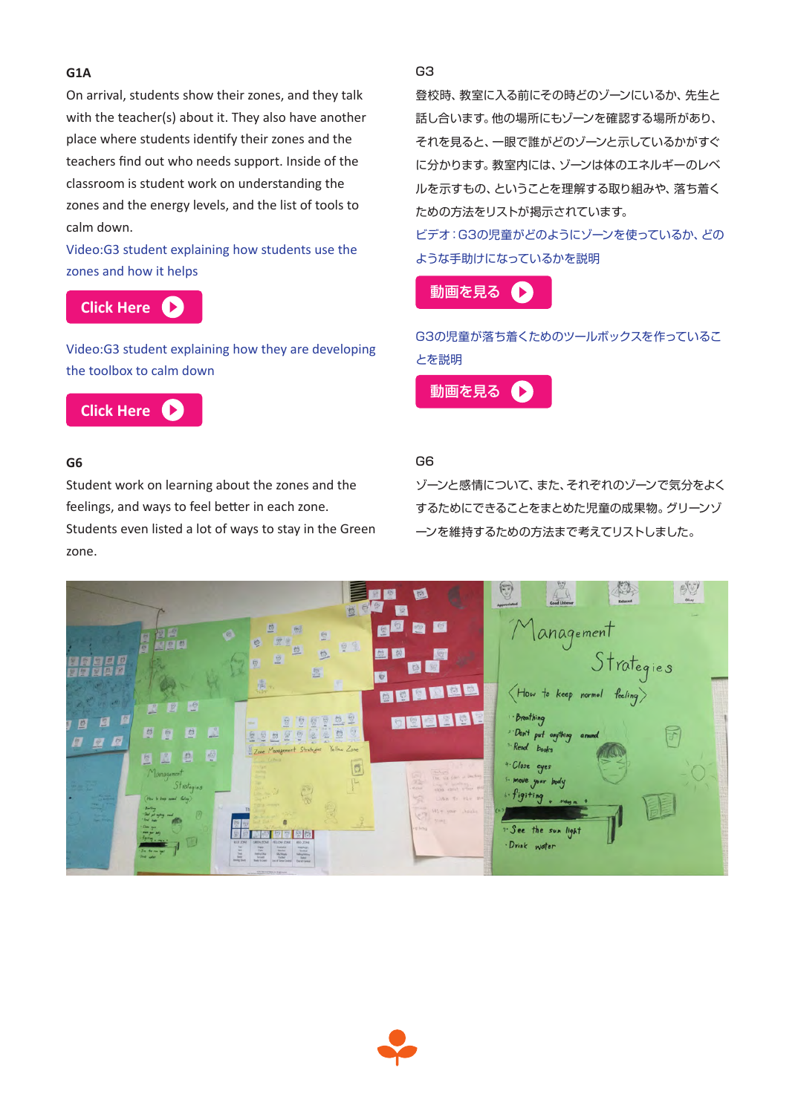# **G1A**

On arrival, students show their zones, and they talk with the teacher(s) about it. They also have another place where students identify their zones and the teachers find out who needs support. Inside of the classroom is student work on understanding the zones and the energy levels, and the list of tools to calm down.

Video:G3 student explaining how students use the zones and how it helps

**[Click Here](https://youtu.be/RoGv_Gl2ys4)**

Video:G3 student explaining how they are developing the toolbox to calm down



# **G6**

Student work on learning about the zones and the feelings, and ways to feel better in each zone. Students even listed a lot of ways to stay in the Green zone.

G3

登校時、教室に入る前にその時どのゾーンにいるか、先生と 話し合います。他の場所にもゾーンを確認する場所があり、 それを見ると、一眼で誰がどのゾーンと示しているかがすぐ に分かります。教室内には、ゾーンは体のエネルギーのレベ ルを示すもの、ということを理解する取り組みや、落ち着く ための方法をリストが掲示されています。

ビデオ:G3の児童がどのようにゾーンを使っているか、どの ような手助けになっているかを説明



G3の児童が落ち着くためのツールボックスを作っているこ とを説明



# G6

ゾーンと感情について、また、それぞれのゾーンで気分をよく するためにできることをまとめた児童の成果物。グリーンゾ ーンを維持するための方法まで考えてリストしました。



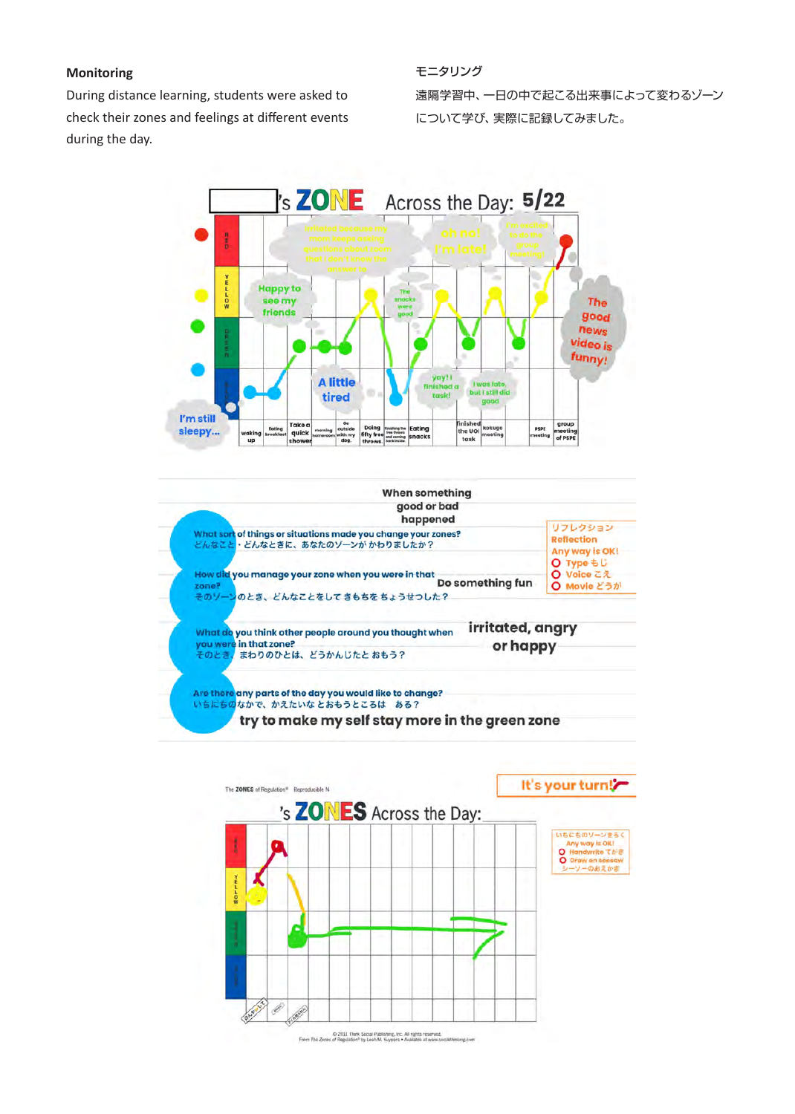# **Monitoring**

During distance learning, students were asked to check their zones and feelings at different events during the day.

モニタリング 遠隔学習中、一日の中で起こる出来事によって変わるゾーン について学び、実際に記録してみました。